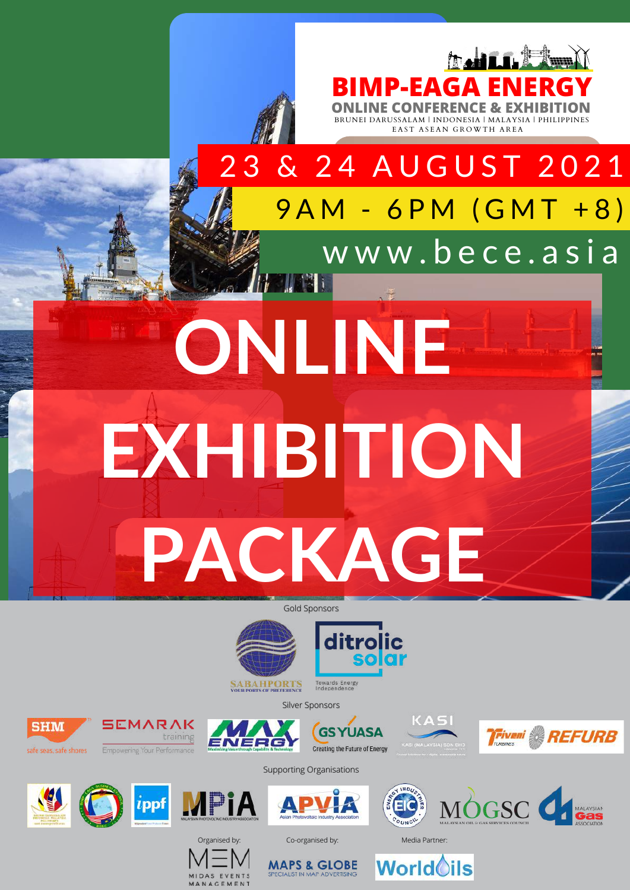





**SABAHPORTS**<br>YOUR PORTS OF PREFERENCE Towards Energy<br>Independence









afe seas, safe shores

**SHM** 

training **Empowering Your Performand** 



 $i$ ppf

SEMARAK



Supporting Organisations







**MAPS & GLOBE** 

**World**oils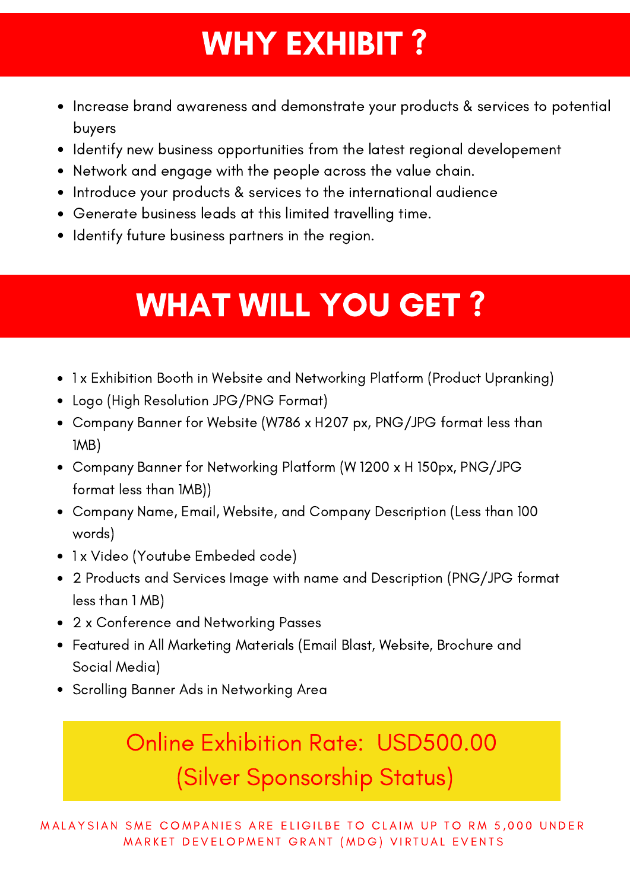## WHY EXHIBIT?

- Increase brand awareness and demonstrate your products & services to potential buyers
- Identify new business opportunities from the latest regional developement
- Network and engage with the people across the value chain.
- Introduce your products & services to the international audience
- Generate business leads at this limited travelling time.
- Identify future business partners in the region.

## WHAT WILL YOU GET ?

- 1 x Exhibition Booth in Website and Networking Platform (Product Upranking)
- Logo (High Resolution JPG/PNG Format)
- Company Banner for Website (W786 x H207 px, PNG/JPG format less than 1MB)
- Company Banner for Networking Platform (W 1200 x H 150px, PNG/JPG format less than 1MB))
- Company Name, Email, Website, and Company Description (Less than 100 words)
- 1 x Video (Youtube Embeded code)
- 2 Products and Services Image with name and Description (PNG/JPG format less than 1 MB)
- 2 x Conference and Networking Passes
- Featured in All Marketing Materials (Email Blast, Website, Brochure and Social Media)
- Scrolling Banner Ads in Networking Area

Online Exhibition Rate: USD500.00 (Silver Sponsorship Status)

MALAYSIAN SME COMPANIES ARE ELIGILBE TO CLAIM UP TO RM 5,000 UNDER MARKET DEVELOPMENT GRANT (MDG) VIRTUAL EVENTS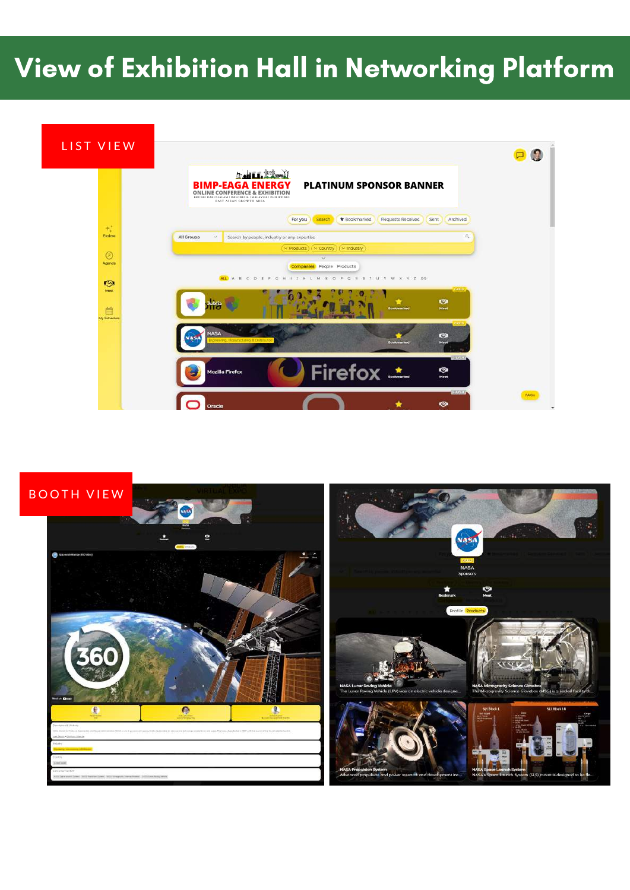## View of Exhibition Hall in Networking Platform